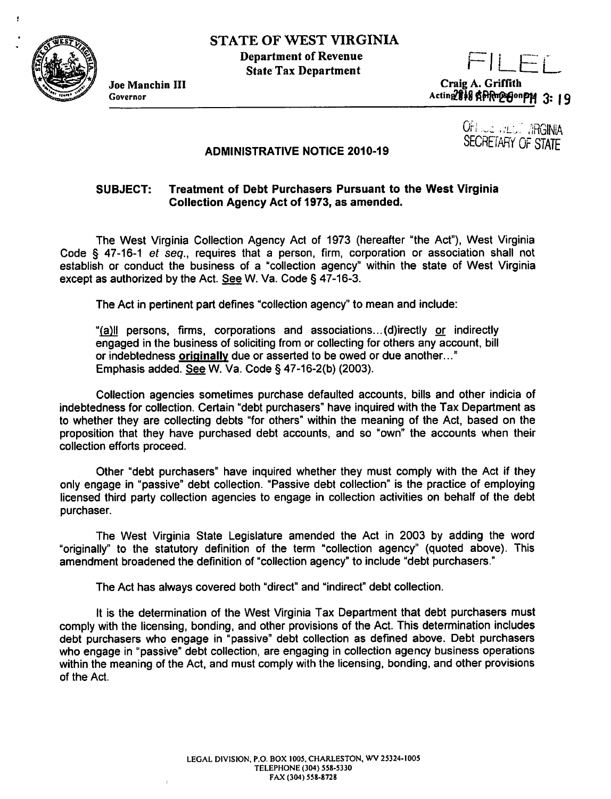

Ŷ

Joe Manchin Ill Governor

FILEL Craig A. Griffith Acting 818 APR resonPM 3: 19

> OF! .. ..: . *:L\_..-* /iRGINiA SECRETARY OF STATE

## ADMINISTRATIVE NOTICE 2010-19

## SUBJECT: Treatment of Debt Purchasers Pursuant to the West Virginia Collection Agency Act of 1973, as amended.

The West Virginia Collection Agency Act of 1973 (hereafter "the Act"), West Virginia Code § 47-16-1 *et seq.,* requires that a person, firm, corporation or association shall not establish or conduct the business of a "collection agency" within the state of West Virginia except as authorized by the Act. See W. Va. Code§ 47-16-3.

The Act in pertinent part defines "collection agency" to mean and include:

"{fil!! persons, firms, corporations and associations ... (d)irectly or indirectly engaged in the business of soliciting from or collecting for others any account, bill or indebtedness originally due or asserted to be owed or due another..." Emphasis added. See W. Va. Code§ 47-16-2(b) (2003).

Collection agencies sometimes purchase defaulted accounts, bills and other indicia of indebtedness for collection. Certain "debt purchasers" have inquired with the Tax Department as to whether they are collecting debts "for others" within the meaning of the Act, based on the proposition that they have purchased debt accounts, and so "own" the accounts when their collection efforts proceed.

Other "debt purchasers" have inquired whether they must comply with the Act if they only engage in "passive" debt collection. "Passive debt collection" is the practice of employing licensed third party collection agencies to engage in collection activities on behalf of the debt purchaser.

The West Virginia State Legislature amended the Act in 2003 by adding the word "originally" to the statutory definition of the term "collection agency" (quoted above). This amendment broadened the definition of "collection agency" to include "debt purchasers."

The Act has always covered both "direct" and "indirect" debt collection.

It is the determination of the West Virginia Tax Department that debt purchasers must comply with the licensing, bonding, and other provisions of the Act. This determination includes debt purchasers who engage in "passive" debt collection as defined above. Debt purchasers who engage in "passive" debt collection, are engaging in collection agency business operations within the meaning of the Act, and must comply with the licensing, bonding, and other provisions of the Act.